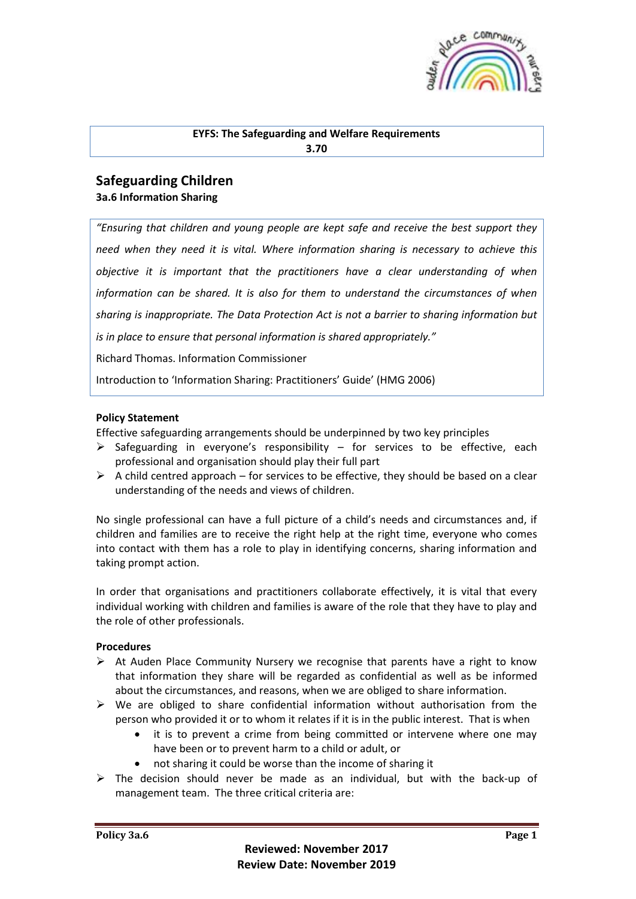

#### **EYFS: The Safeguarding and Welfare Requirements 3.70**

# **Safeguarding Children 3a.6 Information Sharing**

*"Ensuring that children and young people are kept safe and receive the best support they need when they need it is vital. Where information sharing is necessary to achieve this objective it is important that the practitioners have a clear understanding of when information can be shared. It is also for them to understand the circumstances of when sharing is inappropriate. The Data Protection Act is not a barrier to sharing information but is in place to ensure that personal information is shared appropriately."* Richard Thomas. Information Commissioner

Introduction to 'Information Sharing: Practitioners' Guide' (HMG 2006)

## **Policy Statement**

Effective safeguarding arrangements should be underpinned by two key principles

- $\triangleright$  Safeguarding in everyone's responsibility for services to be effective, each professional and organisation should play their full part
- $\triangleright$  A child centred approach for services to be effective, they should be based on a clear understanding of the needs and views of children.

No single professional can have a full picture of a child's needs and circumstances and, if children and families are to receive the right help at the right time, everyone who comes into contact with them has a role to play in identifying concerns, sharing information and taking prompt action.

In order that organisations and practitioners collaborate effectively, it is vital that every individual working with children and families is aware of the role that they have to play and the role of other professionals.

## **Procedures**

- $\triangleright$  At Auden Place Community Nursery we recognise that parents have a right to know that information they share will be regarded as confidential as well as be informed about the circumstances, and reasons, when we are obliged to share information.
- $\triangleright$  We are obliged to share confidential information without authorisation from the person who provided it or to whom it relates if it is in the public interest. That is when
	- it is to prevent a crime from being committed or intervene where one may have been or to prevent harm to a child or adult, or
	- not sharing it could be worse than the income of sharing it
- $\triangleright$  The decision should never be made as an individual, but with the back-up of management team. The three critical criteria are: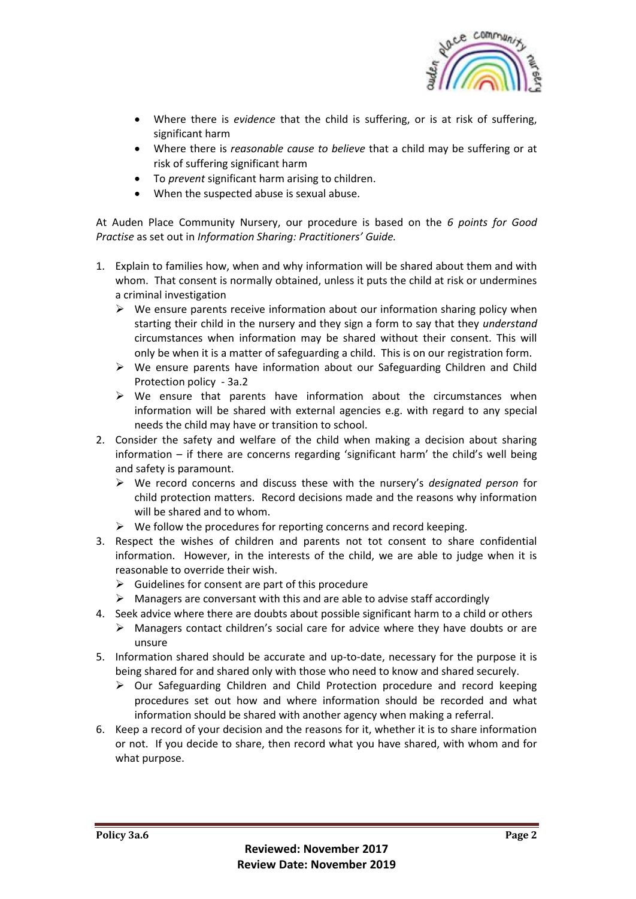

- Where there is *evidence* that the child is suffering, or is at risk of suffering, significant harm
- Where there is *reasonable cause to believe* that a child may be suffering or at risk of suffering significant harm
- To *prevent* significant harm arising to children.
- When the suspected abuse is sexual abuse.

At Auden Place Community Nursery, our procedure is based on the *6 points for Good Practise* as set out in *Information Sharing: Practitioners' Guide.*

- 1. Explain to families how, when and why information will be shared about them and with whom. That consent is normally obtained, unless it puts the child at risk or undermines a criminal investigation
	- $\triangleright$  We ensure parents receive information about our information sharing policy when starting their child in the nursery and they sign a form to say that they *understand* circumstances when information may be shared without their consent. This will only be when it is a matter of safeguarding a child. This is on our registration form.
	- ➢ We ensure parents have information about our Safeguarding Children and Child Protection policy - 3a.2
	- $\triangleright$  We ensure that parents have information about the circumstances when information will be shared with external agencies e.g. with regard to any special needs the child may have or transition to school.
- 2. Consider the safety and welfare of the child when making a decision about sharing information – if there are concerns regarding 'significant harm' the child's well being and safety is paramount.
	- ➢ We record concerns and discuss these with the nursery's *designated person* for child protection matters. Record decisions made and the reasons why information will be shared and to whom.
	- $\triangleright$  We follow the procedures for reporting concerns and record keeping.
- 3. Respect the wishes of children and parents not tot consent to share confidential information. However, in the interests of the child, we are able to judge when it is reasonable to override their wish.
	- $\triangleright$  Guidelines for consent are part of this procedure
	- $\triangleright$  Managers are conversant with this and are able to advise staff accordingly
- 4. Seek advice where there are doubts about possible significant harm to a child or others
	- $\triangleright$  Managers contact children's social care for advice where they have doubts or are unsure
- 5. Information shared should be accurate and up-to-date, necessary for the purpose it is being shared for and shared only with those who need to know and shared securely.
	- $\triangleright$  Our Safeguarding Children and Child Protection procedure and record keeping procedures set out how and where information should be recorded and what information should be shared with another agency when making a referral.
- 6. Keep a record of your decision and the reasons for it, whether it is to share information or not. If you decide to share, then record what you have shared, with whom and for what purpose.